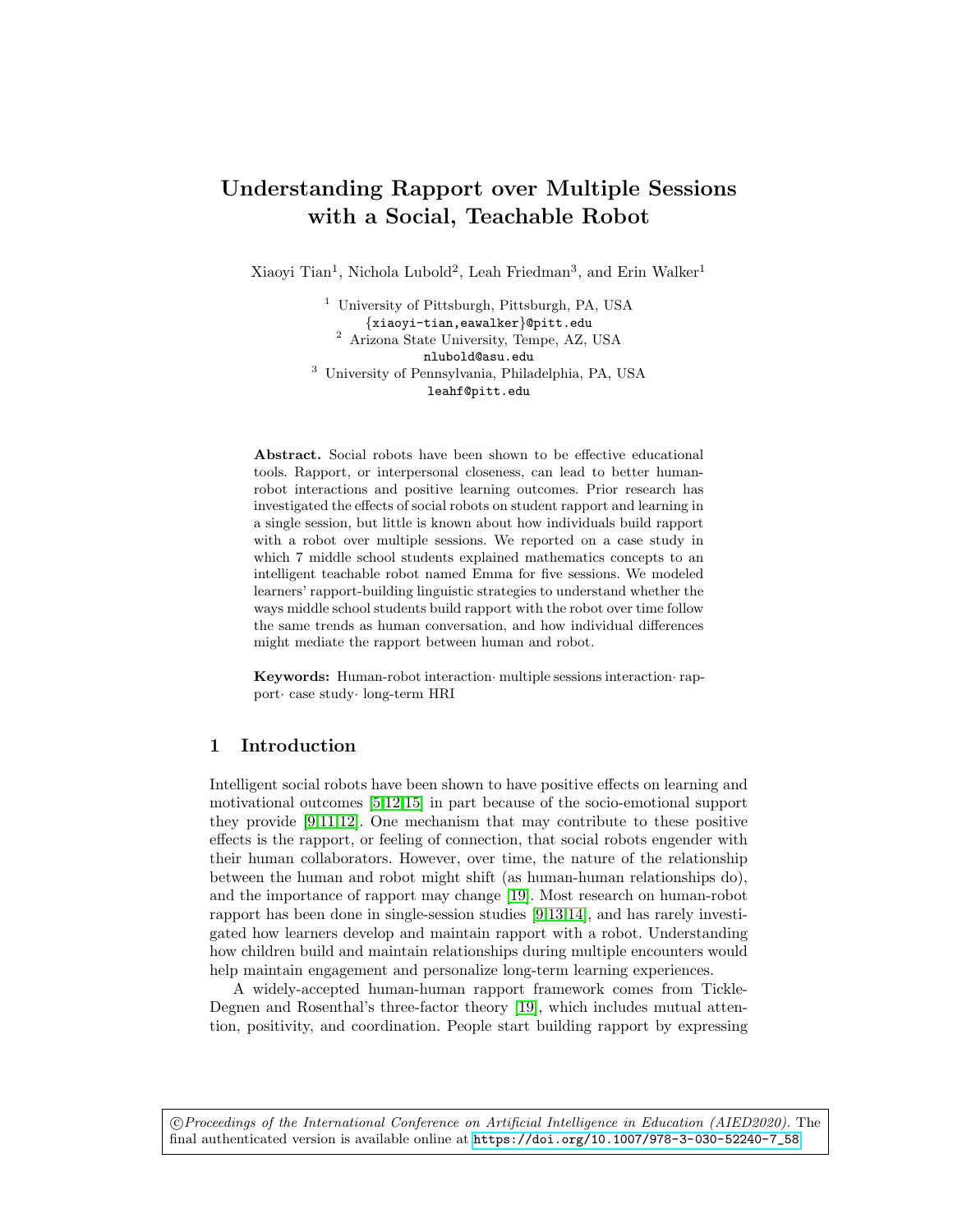# Understanding Rapport over Multiple Sessions with a Social, Teachable Robot

Xiaoyi Tian<sup>1</sup>, Nichola Lubold<sup>2</sup>, Leah Friedman<sup>3</sup>, and Erin Walker<sup>1</sup>

<sup>1</sup> University of Pittsburgh, Pittsburgh, PA, USA {xiaoyi-tian,eawalker}@pitt.edu <sup>2</sup> Arizona State University, Tempe, AZ, USA nlubold@asu.edu <sup>3</sup> University of Pennsylvania, Philadelphia, PA, USA leahf@pitt.edu

Abstract. Social robots have been shown to be effective educational tools. Rapport, or interpersonal closeness, can lead to better humanrobot interactions and positive learning outcomes. Prior research has investigated the effects of social robots on student rapport and learning in a single session, but little is known about how individuals build rapport with a robot over multiple sessions. We reported on a case study in which 7 middle school students explained mathematics concepts to an intelligent teachable robot named Emma for five sessions. We modeled learners' rapport-building linguistic strategies to understand whether the ways middle school students build rapport with the robot over time follow the same trends as human conversation, and how individual differences might mediate the rapport between human and robot.

Keywords: Human-robot interaction· multiple sessions interaction· rapport· case study· long-term HRI

# 1 Introduction

Intelligent social robots have been shown to have positive effects on learning and motivational outcomes [\[5,](#page-4-0)[12](#page-4-1)[,15\]](#page-4-2) in part because of the socio-emotional support they provide [\[9,](#page-4-3)[11](#page-4-4)[,12\]](#page-4-1). One mechanism that may contribute to these positive effects is the rapport, or feeling of connection, that social robots engender with their human collaborators. However, over time, the nature of the relationship between the human and robot might shift (as human-human relationships do), and the importance of rapport may change [\[19\]](#page-5-0). Most research on human-robot rapport has been done in single-session studies [\[9,](#page-4-3)[13,](#page-4-5)[14\]](#page-4-6), and has rarely investigated how learners develop and maintain rapport with a robot. Understanding how children build and maintain relationships during multiple encounters would help maintain engagement and personalize long-term learning experiences.

A widely-accepted human-human rapport framework comes from Tickle-Degnen and Rosenthal's three-factor theory [\[19\]](#page-5-0), which includes mutual attention, positivity, and coordination. People start building rapport by expressing

 c Proceedings of the International Conference on Artificial Intelligence in Education (AIED2020). The final authenticated version is available online at [https://doi.org/10.1007/978-3-030-52240-7\\_58](https://doi.org/10.1007/978-3-030-52240-7_58)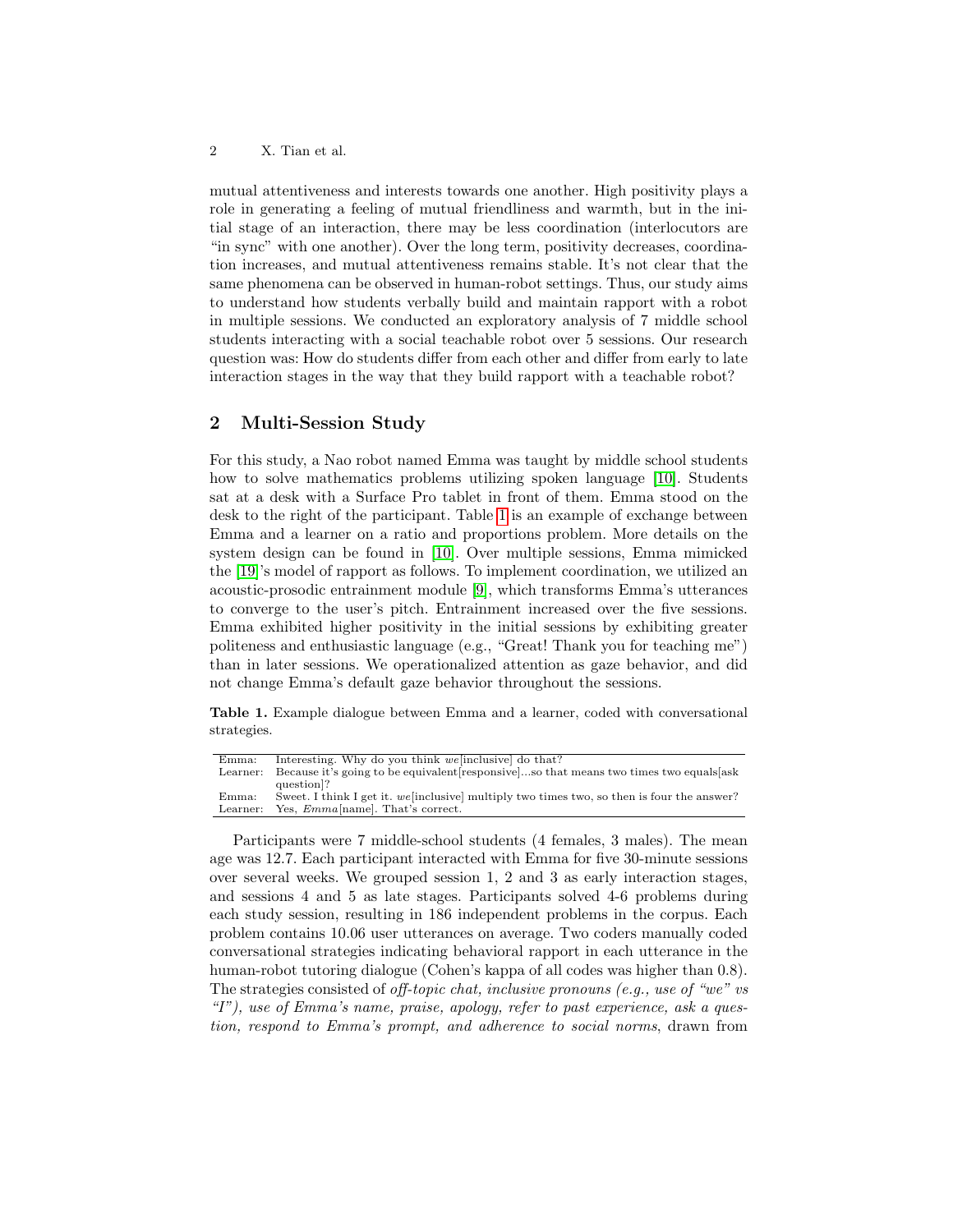#### 2 X. Tian et al.

mutual attentiveness and interests towards one another. High positivity plays a role in generating a feeling of mutual friendliness and warmth, but in the initial stage of an interaction, there may be less coordination (interlocutors are "in sync" with one another). Over the long term, positivity decreases, coordination increases, and mutual attentiveness remains stable. It's not clear that the same phenomena can be observed in human-robot settings. Thus, our study aims to understand how students verbally build and maintain rapport with a robot in multiple sessions. We conducted an exploratory analysis of 7 middle school students interacting with a social teachable robot over 5 sessions. Our research question was: How do students differ from each other and differ from early to late interaction stages in the way that they build rapport with a teachable robot?

## 2 Multi-Session Study

For this study, a Nao robot named Emma was taught by middle school students how to solve mathematics problems utilizing spoken language [\[10\]](#page-4-7). Students sat at a desk with a Surface Pro tablet in front of them. Emma stood on the desk to the right of the participant. Table [1](#page-1-0) is an example of exchange between Emma and a learner on a ratio and proportions problem. More details on the system design can be found in [\[10\]](#page-4-7). Over multiple sessions, Emma mimicked the [\[19\]](#page-5-0)'s model of rapport as follows. To implement coordination, we utilized an acoustic-prosodic entrainment module [\[9\]](#page-4-3), which transforms Emma's utterances to converge to the user's pitch. Entrainment increased over the five sessions. Emma exhibited higher positivity in the initial sessions by exhibiting greater politeness and enthusiastic language (e.g., "Great! Thank you for teaching me") than in later sessions. We operationalized attention as gaze behavior, and did not change Emma's default gaze behavior throughout the sessions.

<span id="page-1-0"></span>Table 1. Example dialogue between Emma and a learner, coded with conversational strategies.

| Emma:    | Interesting. Why do you think we inclusive do that?                                       |
|----------|-------------------------------------------------------------------------------------------|
| Learner: | Because it's going to be equivalent responsiveso that means two times two equals ask      |
|          | question <sup>[2]</sup>                                                                   |
| Emma:    | Sweet. I think I get it. we inclusive multiply two times two, so then is four the answer? |
| Learner: | Yes, <i>Emma</i> [name]. That's correct.                                                  |
|          |                                                                                           |

Participants were 7 middle-school students (4 females, 3 males). The mean age was 12.7. Each participant interacted with Emma for five 30-minute sessions over several weeks. We grouped session 1, 2 and 3 as early interaction stages, and sessions 4 and 5 as late stages. Participants solved 4-6 problems during each study session, resulting in 186 independent problems in the corpus. Each problem contains 10.06 user utterances on average. Two coders manually coded conversational strategies indicating behavioral rapport in each utterance in the human-robot tutoring dialogue (Cohen's kappa of all codes was higher than 0.8). The strategies consisted of off-topic chat, inclusive pronouns (e.g., use of "we" vs "I"), use of Emma's name, praise, apology, refer to past experience, ask a question, respond to Emma's prompt, and adherence to social norms, drawn from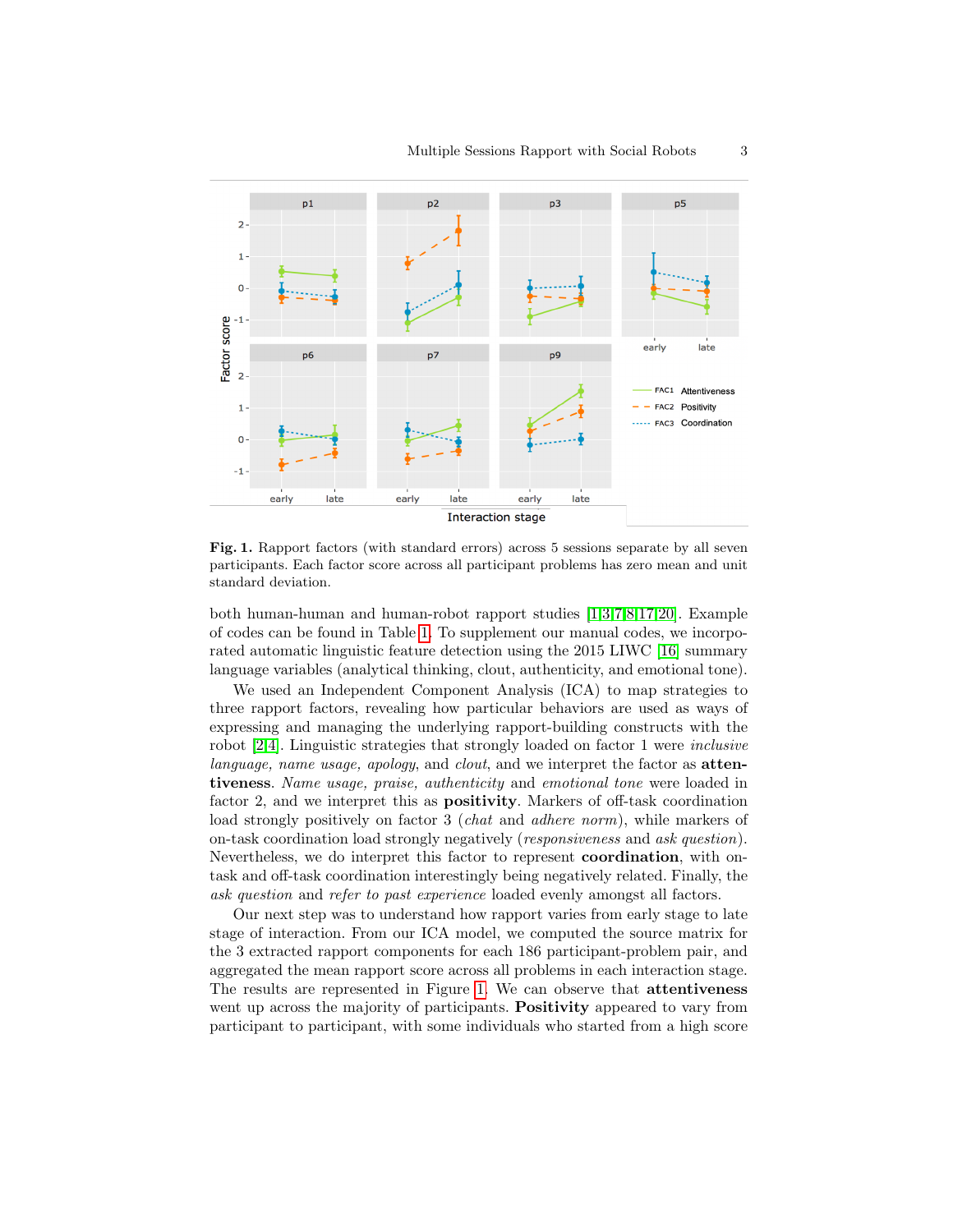

<span id="page-2-0"></span>Fig. 1. Rapport factors (with standard errors) across 5 sessions separate by all seven participants. Each factor score across all participant problems has zero mean and unit standard deviation.

both human-human and human-robot rapport studies [\[1](#page-4-8)[,3,](#page-4-9)[7,](#page-4-10)[8,](#page-4-11)[17,](#page-5-1)[20\]](#page-5-2). Example of codes can be found in Table [1.](#page-1-0) To supplement our manual codes, we incorporated automatic linguistic feature detection using the 2015 LIWC [\[16\]](#page-5-3) summary language variables (analytical thinking, clout, authenticity, and emotional tone).

We used an Independent Component Analysis (ICA) to map strategies to three rapport factors, revealing how particular behaviors are used as ways of expressing and managing the underlying rapport-building constructs with the robot [\[2](#page-4-12)[,4\]](#page-4-13). Linguistic strategies that strongly loaded on factor 1 were inclusive language, name usage, apology, and clout, and we interpret the factor as **atten**tiveness. Name usage, praise, authenticity and emotional tone were loaded in factor 2, and we interpret this as positivity. Markers of off-task coordination load strongly positively on factor 3 (*chat* and *adhere norm*), while markers of on-task coordination load strongly negatively (responsiveness and ask question). Nevertheless, we do interpret this factor to represent coordination, with ontask and off-task coordination interestingly being negatively related. Finally, the ask question and refer to past experience loaded evenly amongst all factors.

Our next step was to understand how rapport varies from early stage to late stage of interaction. From our ICA model, we computed the source matrix for the 3 extracted rapport components for each 186 participant-problem pair, and aggregated the mean rapport score across all problems in each interaction stage. The results are represented in Figure [1.](#page-2-0) We can observe that attentiveness went up across the majority of participants. **Positivity** appeared to vary from participant to participant, with some individuals who started from a high score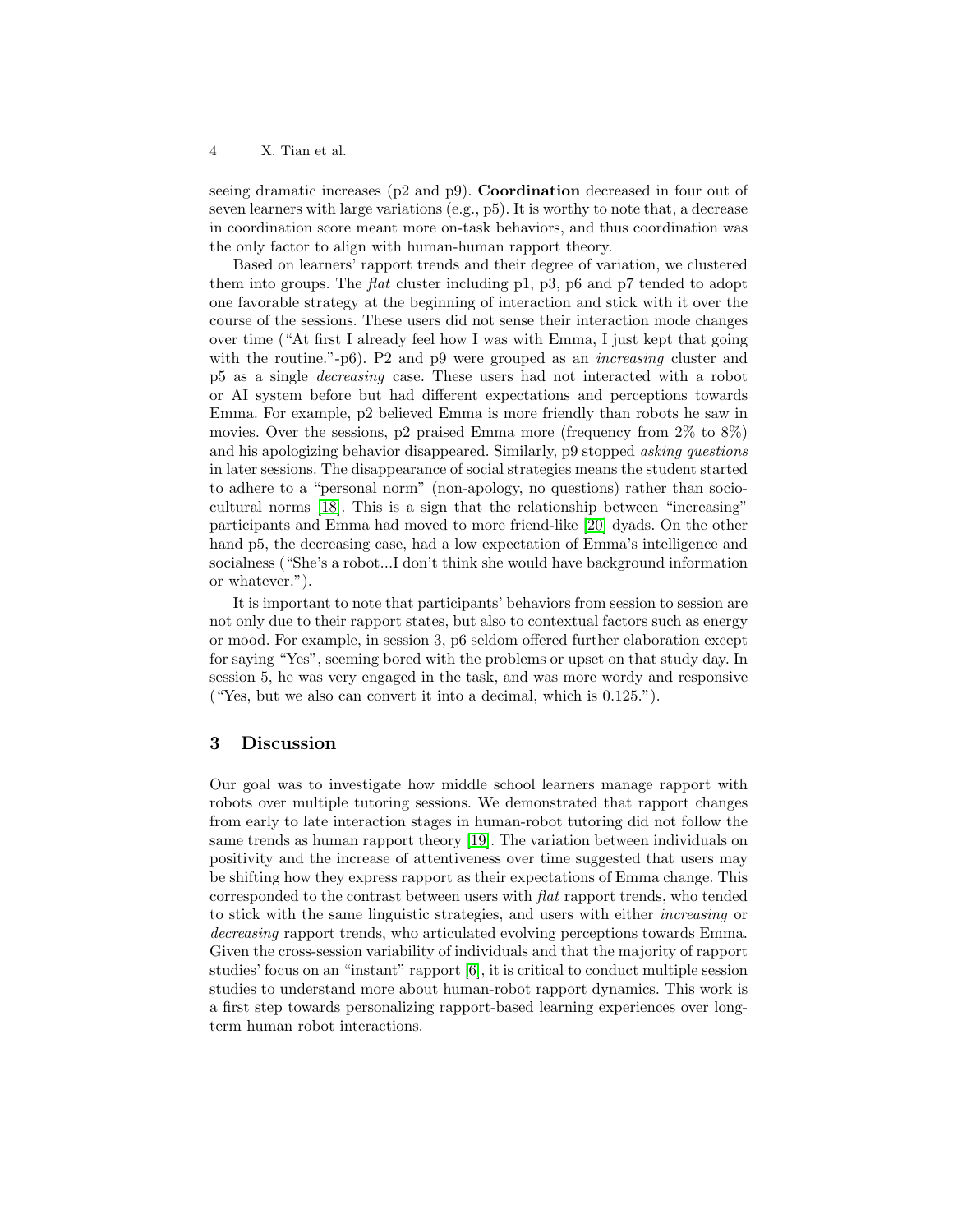4 X. Tian et al.

seeing dramatic increases ( $p2$  and  $p9$ ). **Coordination** decreased in four out of seven learners with large variations (e.g., p5). It is worthy to note that, a decrease in coordination score meant more on-task behaviors, and thus coordination was the only factor to align with human-human rapport theory.

Based on learners' rapport trends and their degree of variation, we clustered them into groups. The flat cluster including  $p1$ ,  $p3$ ,  $p6$  and  $p7$  tended to adopt one favorable strategy at the beginning of interaction and stick with it over the course of the sessions. These users did not sense their interaction mode changes over time ("At first I already feel how I was with Emma, I just kept that going with the routine."-p6). P2 and p9 were grouped as an *increasing* cluster and p5 as a single decreasing case. These users had not interacted with a robot or AI system before but had different expectations and perceptions towards Emma. For example, p2 believed Emma is more friendly than robots he saw in movies. Over the sessions, p2 praised Emma more (frequency from 2% to 8%) and his apologizing behavior disappeared. Similarly, p9 stopped asking questions in later sessions. The disappearance of social strategies means the student started to adhere to a "personal norm" (non-apology, no questions) rather than sociocultural norms [\[18\]](#page-5-4). This is a sign that the relationship between "increasing" participants and Emma had moved to more friend-like [\[20\]](#page-5-2) dyads. On the other hand p5, the decreasing case, had a low expectation of Emma's intelligence and socialness ("She's a robot...I don't think she would have background information or whatever.").

It is important to note that participants' behaviors from session to session are not only due to their rapport states, but also to contextual factors such as energy or mood. For example, in session 3, p6 seldom offered further elaboration except for saying "Yes", seeming bored with the problems or upset on that study day. In session 5, he was very engaged in the task, and was more wordy and responsive ("Yes, but we also can convert it into a decimal, which is 0.125.").

#### 3 Discussion

Our goal was to investigate how middle school learners manage rapport with robots over multiple tutoring sessions. We demonstrated that rapport changes from early to late interaction stages in human-robot tutoring did not follow the same trends as human rapport theory [\[19\]](#page-5-0). The variation between individuals on positivity and the increase of attentiveness over time suggested that users may be shifting how they express rapport as their expectations of Emma change. This corresponded to the contrast between users with flat rapport trends, who tended to stick with the same linguistic strategies, and users with either increasing or decreasing rapport trends, who articulated evolving perceptions towards Emma. Given the cross-session variability of individuals and that the majority of rapport studies' focus on an "instant" rapport [\[6\]](#page-4-14), it is critical to conduct multiple session studies to understand more about human-robot rapport dynamics. This work is a first step towards personalizing rapport-based learning experiences over longterm human robot interactions.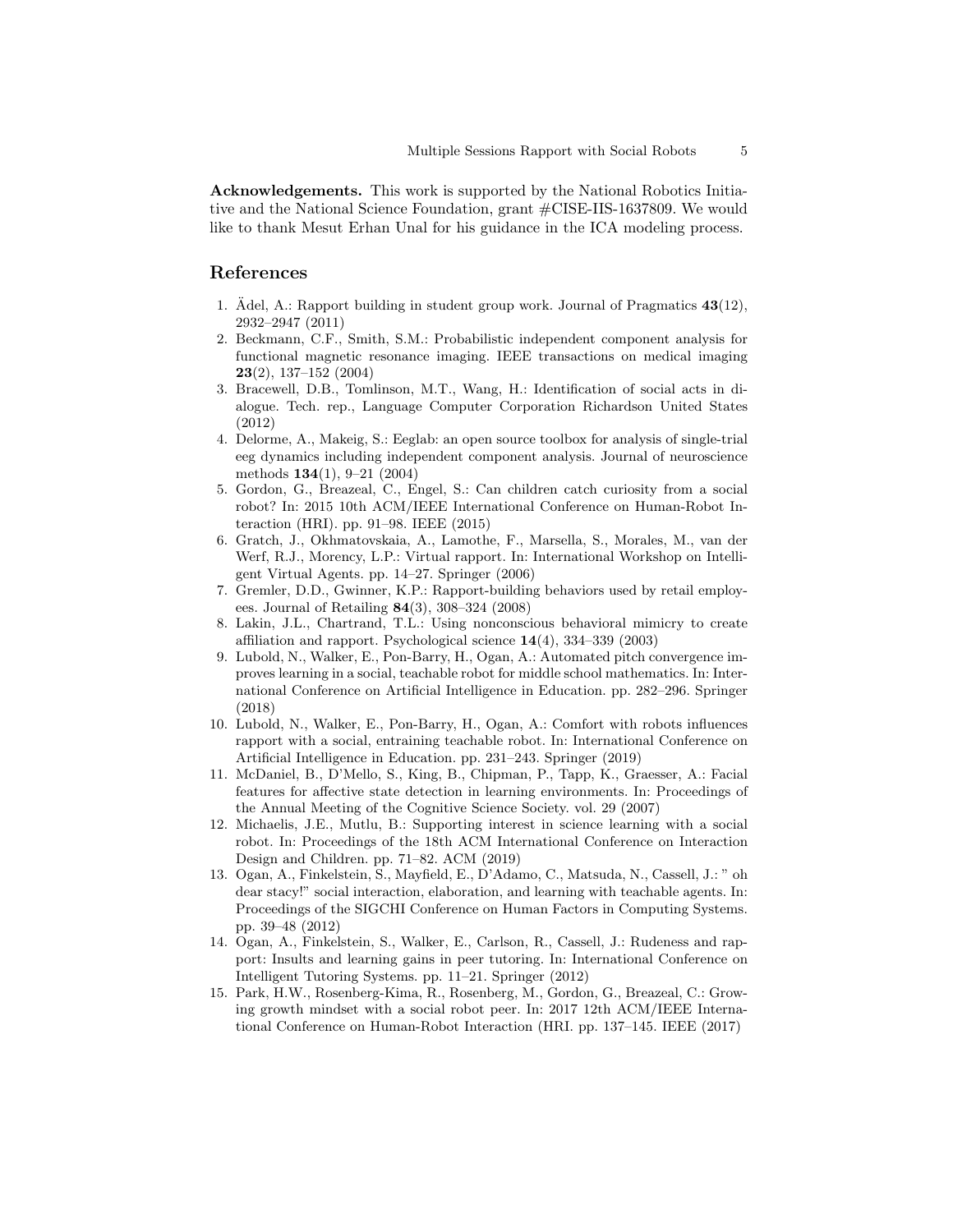Acknowledgements. This work is supported by the National Robotics Initiative and the National Science Foundation, grant #CISE-IIS-1637809. We would like to thank Mesut Erhan Unal for his guidance in the ICA modeling process.

# References

- <span id="page-4-8"></span>1. Adel, A.: Rapport building in student group work. Journal of Pragmatics  $43(12)$ , 2932–2947 (2011)
- <span id="page-4-12"></span>2. Beckmann, C.F., Smith, S.M.: Probabilistic independent component analysis for functional magnetic resonance imaging. IEEE transactions on medical imaging 23(2), 137–152 (2004)
- <span id="page-4-9"></span>3. Bracewell, D.B., Tomlinson, M.T., Wang, H.: Identification of social acts in dialogue. Tech. rep., Language Computer Corporation Richardson United States (2012)
- <span id="page-4-13"></span>4. Delorme, A., Makeig, S.: Eeglab: an open source toolbox for analysis of single-trial eeg dynamics including independent component analysis. Journal of neuroscience methods 134(1), 9–21 (2004)
- <span id="page-4-0"></span>5. Gordon, G., Breazeal, C., Engel, S.: Can children catch curiosity from a social robot? In: 2015 10th ACM/IEEE International Conference on Human-Robot Interaction (HRI). pp. 91–98. IEEE (2015)
- <span id="page-4-14"></span>6. Gratch, J., Okhmatovskaia, A., Lamothe, F., Marsella, S., Morales, M., van der Werf, R.J., Morency, L.P.: Virtual rapport. In: International Workshop on Intelligent Virtual Agents. pp. 14–27. Springer (2006)
- <span id="page-4-10"></span>7. Gremler, D.D., Gwinner, K.P.: Rapport-building behaviors used by retail employees. Journal of Retailing 84(3), 308–324 (2008)
- <span id="page-4-11"></span>8. Lakin, J.L., Chartrand, T.L.: Using nonconscious behavioral mimicry to create affiliation and rapport. Psychological science 14(4), 334–339 (2003)
- <span id="page-4-3"></span>9. Lubold, N., Walker, E., Pon-Barry, H., Ogan, A.: Automated pitch convergence improves learning in a social, teachable robot for middle school mathematics. In: International Conference on Artificial Intelligence in Education. pp. 282–296. Springer (2018)
- <span id="page-4-7"></span>10. Lubold, N., Walker, E., Pon-Barry, H., Ogan, A.: Comfort with robots influences rapport with a social, entraining teachable robot. In: International Conference on Artificial Intelligence in Education. pp. 231–243. Springer (2019)
- <span id="page-4-4"></span>11. McDaniel, B., D'Mello, S., King, B., Chipman, P., Tapp, K., Graesser, A.: Facial features for affective state detection in learning environments. In: Proceedings of the Annual Meeting of the Cognitive Science Society. vol. 29 (2007)
- <span id="page-4-1"></span>12. Michaelis, J.E., Mutlu, B.: Supporting interest in science learning with a social robot. In: Proceedings of the 18th ACM International Conference on Interaction Design and Children. pp. 71–82. ACM (2019)
- <span id="page-4-5"></span>13. Ogan, A., Finkelstein, S., Mayfield, E., D'Adamo, C., Matsuda, N., Cassell, J.: " oh dear stacy!" social interaction, elaboration, and learning with teachable agents. In: Proceedings of the SIGCHI Conference on Human Factors in Computing Systems. pp. 39–48 (2012)
- <span id="page-4-6"></span>14. Ogan, A., Finkelstein, S., Walker, E., Carlson, R., Cassell, J.: Rudeness and rapport: Insults and learning gains in peer tutoring. In: International Conference on Intelligent Tutoring Systems. pp. 11–21. Springer (2012)
- <span id="page-4-2"></span>15. Park, H.W., Rosenberg-Kima, R., Rosenberg, M., Gordon, G., Breazeal, C.: Growing growth mindset with a social robot peer. In: 2017 12th ACM/IEEE International Conference on Human-Robot Interaction (HRI. pp. 137–145. IEEE (2017)